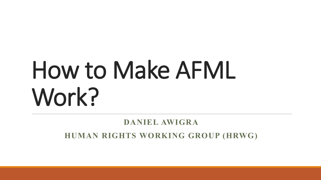# How to Make AFML Work?

#### **DANIEL AWIGRA**

**HUMAN RIGHTS WORKING GROUP (HRWG)**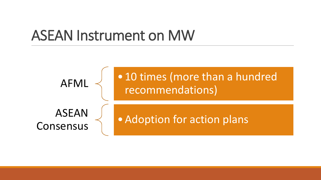### ASEAN Instrument on MW

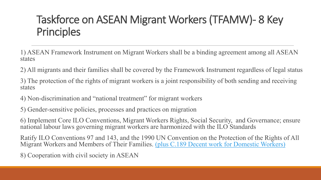### Taskforce on ASEAN Migrant Workers (TFAMW)- 8 Key **Principles**

1) ASEAN Framework Instrument on Migrant Workers shall be a binding agreement among all ASEAN states

2) All migrants and their families shall be covered by the Framework Instrument regardless of legal status

3) The protection of the rights of migrant workers is a joint responsibility of both sending and receiving states

4) Non-discrimination and "national treatment" for migrant workers

5) Gender-sensitive policies, processes and practices on migration

6) Implement Core ILO Conventions, Migrant Workers Rights, Social Security, and Governance; ensure national labour laws governing migrant workers are harmonized with the ILO Standards

Ratify ILO Conventions 97 and 143, and the 1990 UN Convention on the Protection of the Rights of All Migrant Workers and Members of Their Families. (plus C.189 Decent work for Domestic Workers)

8) Cooperation with civil society in ASEAN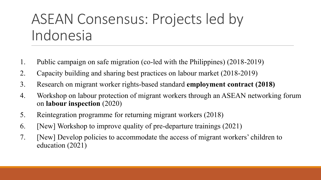## ASEAN Consensus: Projects led by Indonesia

- 1. Public campaign on safe migration (co-led with the Philippines) (2018-2019)
- 2. Capacity building and sharing best practices on labour market (2018-2019)
- 3. Research on migrant worker rights-based standard **employment contract (2018)**
- 4. Workshop on labour protection of migrant workers through an ASEAN networking forum on **labour inspection** (2020)
- 5. Reintegration programme for returning migrant workers (2018)
- 6. [New] Workshop to improve quality of pre-departure trainings (2021)
- 7. [New] Develop policies to accommodate the access of migrant workers' children to education (2021)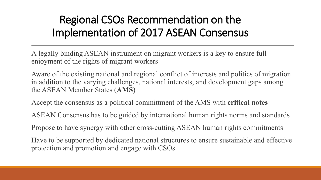### Regional CSOs Recommendation on the Implementation of 2017 ASEAN Consensus

A legally binding ASEAN instrument on migrant workers is a key to ensure full enjoyment of the rights of migrant workers

Aware of the existing national and regional conflict of interests and politics of migration in addition to the varying challenges, national interests, and development gaps among the ASEAN Member States (**AMS**)

Accept the consensus as a political committment of the AMS with **critical notes**

ASEAN Consensus has to be guided by international human rights norms and standards

Propose to have synergy with other cross-cutting ASEAN human rights commitments

Have to be supported by dedicated national structures to ensure sustainable and effective protection and promotion and engage with CSOs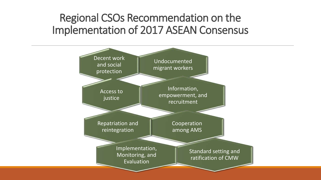### Regional CSOs Recommendation on the Implementation of 2017 ASEAN Consensus

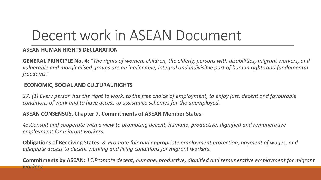## Decent work in ASEAN Document

#### **ASEAN HUMAN RIGHTS DECLARATION**

**GENERAL PRINCIPLE No. 4:** "*The rights of women, children, the elderly, persons with disabilities, migrant workers, and vulnerable and marginalised groups are an inalienable, integral and indivisible part of human rights and fundamental freedoms."*

#### **ECONOMIC, SOCIAL AND CULTURAL RIGHTS**

*27. (1) Every person has the right to work, to the free choice of employment, to enjoy just, decent and favourable conditions of work and to have access to assistance schemes for the unemployed.*

#### **ASEAN CONSENSUS, Chapter 7, Commitments of ASEAN Member States:**

*45.Consult and cooperate with a view to promoting decent, humane, productive, dignified and remunerative employment for migrant workers.*

**Obligations of Receiving States:** *8. Promote fair and appropriate employment protection, payment of wages, and adequate access to decent working and living conditions for migrant workers.*

**Commitments by ASEAN:** *15.Promote decent, humane, productive, dignified and remunerative employment for migrant workers.*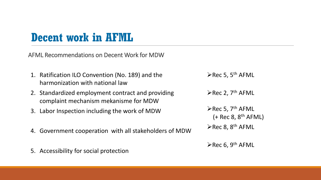### **Decent work in AFML**

AFML Recommendations on Decent Work for MDW

- 1. Ratification ILO Convention (No. 189) and the harmonization with national law
- 2. Standardized employment contract and providing complaint mechanism mekanisme for MDW
- 3. Labor Inspection including the work of MDW
- 4. Government cooperation with all stakeholders of MDW
- 5. Accessibility for social protection

 $\triangleright$  Rec 5, 5<sup>th</sup> AFML

 $\triangleright$  Rec 2, 7<sup>th</sup> AFML

 $\triangleright$  Rec 5, 7<sup>th</sup> AFML  $(+$  Rec 8, 8<sup>th</sup> AFML)

 $\triangleright$  Rec 8, 8<sup>th</sup> AFML

 $\triangleright$  Rec 6, 9<sup>th</sup> AFML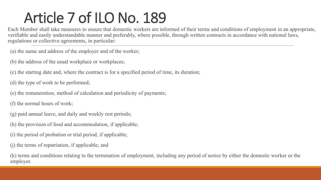# Article 7 of ILO No. 189

Each Member shall take measures to ensure that domestic workers are informed of their terms and conditions of employment in an appropriate, verifiable and easily understandable manner and preferably, where possible, through written contracts in accordance with national laws, regulations or collective agreements, in particular:

(a) the name and address of the employer and of the worker;

(b) the address of the usual workplace or workplaces;

(c) the starting date and, where the contract is for a specified period of time, its duration;

(d) the type of work to be performed;

(e) the remuneration, method of calculation and periodicity of payments;

(f) the normal hours of work;

- (g) paid annual leave, and daily and weekly rest periods;
- (h) the provision of food and accommodation, if applicable;
- (i) the period of probation or trial period, if applicable;
- (j) the terms of repatriation, if applicable; and

(k) terms and conditions relating to the termination of employment, including any period of notice by either the domestic worker or the employer.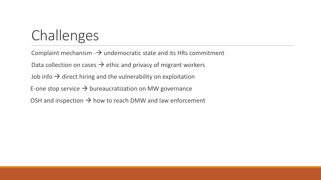# Challenges

Complaint mechanism  $-\rightarrow$  undemocratic state and its HRs commitment Data collection on cases  $\rightarrow$  ethic and privacy of migrant workers Job info  $\rightarrow$  direct hiring and the vulnerability on exploitation E-one stop service  $\rightarrow$  bureaucratization on MW governance OSH and inspection  $\rightarrow$  how to reach DMW and law enforcement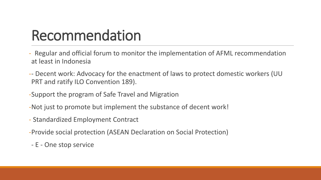# Recommendation

- Regular and official forum to monitor the implementation of AFML recommendation at least in Indonesia
- -- Decent work: Advocacy for the enactment of laws to protect domestic workers (UU PRT and ratify ILO Convention 189).
- -Support the program of Safe Travel and Migration
- -Not just to promote but implement the substance of decent work!
- Standardized Employment Contract
- -Provide social protection (ASEAN Declaration on Social Protection)
- E One stop service